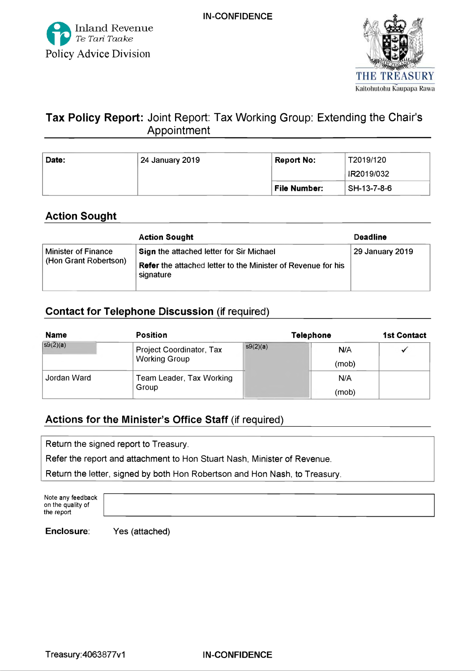



# **Tax Policy Report:** Joint Report: Tax Working Group: Extending the Chair's Appointment\_\_\_\_\_\_\_\_\_\_\_\_\_\_\_\_\_\_\_\_\_\_\_\_\_\_\_\_\_\_\_\_\_\_\_\_\_\_

| Date: | 24 January 2019 | T2019/120<br><b>Report No:</b> |             |
|-------|-----------------|--------------------------------|-------------|
|       |                 |                                | IR2019/032  |
|       |                 | <b>File Number:</b>            | SH-13-7-8-6 |

# Action Sought

|                                              | <b>Action Sought</b>                                                             | <b>Deadline</b> |
|----------------------------------------------|----------------------------------------------------------------------------------|-----------------|
| Minister of Finance<br>(Hon Grant Robertson) | Sign the attached letter for Sir Michael                                         | 29 January 2019 |
|                                              | <b>Refer</b> the attached letter to the Minister of Revenue for his<br>signature |                 |

# Contact for Telephone Discussion (if required)

| <b>Name</b> | <b>Position</b>                 | <b>Telephone</b> |       | <b>1st Contact</b> |
|-------------|---------------------------------|------------------|-------|--------------------|
| $s9(2)$ (a) | <b>Project Coordinator, Tax</b> | s9(2)(a)         | N/A   |                    |
|             | <b>Working Group</b>            |                  | (mob) |                    |
| Jordan Ward | Team Leader, Tax Working        |                  | N/A   |                    |
|             | Group                           |                  | (mob) |                    |

# Actions for the Minister's Office Staff (if required)

**Return the signed report to Treasury.**

**Refer the report and attachment to Hon Stuart Nash, Minister of Revenue.**

**Return the letter, signed by both Hon Robertson and Hon Nash, to Treasury.**

Note any feedback on the quality of the report

**Enclosure: Yes (attached)**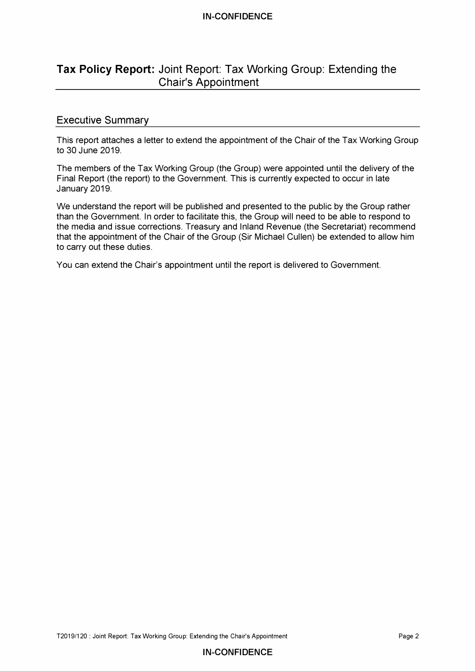#### **IN-CONFIDENCE**

# **Tax Policy Report:** Joint Report: Tax Working Group: Extending the Chair's Appointment

## **Executive Summary**

**This report attaches a letter to extend the appointment of the Chair of the Tax Working Group to 30 June 2019.**

**The members of the Tax Working Group (the Group) were appointed until the delivery of the Final Report (the report) to the Government. This is currently expected to occur in late January 2019.**

**We understand the report will be published and presented to the public by the Group rather than the Government. In order to facilitate this, the Group will need to be able to respond to the media and issue corrections. Treasury and Inland Revenue (the Secretariat) recommend that the appointment of the Chair of the Group (Sir Michael Cullen) be extended to allow him to carry out these duties.**

**You can extend the Chair's appointment until the report is delivered to Government.**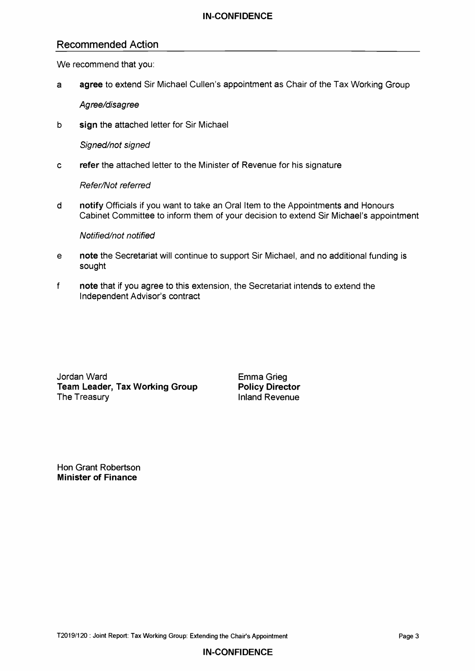# Recommended Action

**We recommend that you:**

**a agree to extend Sir Michael Cullen's appointment as Chair of the Tax Working Group**

*Agree/disagree*

**b sign the attached letter for Sir Michael**

*Signed/not signed*

**c refer the attached letter to the Minister of Revenue for his signature**

*Refer/Not referred*

**d notify Officials if you want to take an Oral Item to the Appointments and Honours Cabinet Committee to inform them of your decision to extend Sir Michael's appointment**

## *Notified/not notified*

- **e note the Secretariat will continue to support Sir Michael, and no additional funding is sought**
- **f note that if you agree to this extension, the Secretariat intends to extend the Independent Advisor's contract**

**Jordan Ward Conditional Conditionary Conditional Conditional Conditional Condition**<br> **Team Leader, Tax Working Group Conditional Policy Director Team Leader, Tax Working Group The Treasury** 

**Inland Revenue** 

**Hon Grant Robertson Minister of Finance**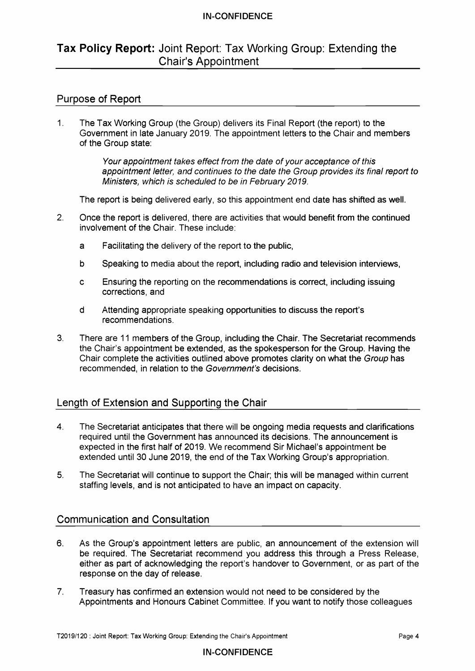## **IN-CONFIDENCE**

# **Tax Policy Report:** Joint Report: Tax Working Group: Extending the Chair's Appointment

## Purpose of Report

**1. The Tax Working Group (the Group) delivers its Final Report (the report) to the Government in late January 2019. The appointment letters to the Chair and members of the Group state:**

> *Your appointment takes effect from the date of your acceptance of this* appointment letter, and continues to the date the Group provides its final report to *Ministers, which is scheduled to be in February 2019.*

**The report is being delivered early, so this appointment end date has shifted as well.**

- **2. Once the report is delivered, there are activities that would benefit from the continued involvement of the Chair. These include:**
	- **a Facilitating the delivery of the report to the public,**
	- **b Speaking to media about the report, including radio and television interviews,**
	- **c Ensuring the reporting on the recommendations is correct, including issuing corrections, and**
	- **d Attending appropriate speaking opportunities to discuss the report's recommendations.**
- **3. There are 11 members of the Group, including the Chair. The Secretariat recommends the Chair's appointment be extended, as the spokesperson for the Group. Having the** Chair complete the activities outlined above promotes clarity on what the *Group* has recommended, in relation to the *Government's* decisions.

# Length of Extension and Supporting the Chair

- **4. The Secretariat anticipates that there will be ongoing media requests and clarifications required until the Government has announced its decisions. The announcement is expected in the first half of 2019. We recommend Sir Michael's appointment be extended until 30 June 2019, the end of the Tax Working Group's appropriation.**
- **5. The Secretariat will continue to support the Chair; this will be managed within current staffing levels, and is not anticipated to have an impact on capacity.**

## Communication and Consultation

- **6. As the Group's appointment letters are public, an announcement of the extension will be required. The Secretariat recommend you address this through a Press Release, either as part of acknowledging the report's handover to Government, or as part of the response on the day of release.**
- **7. Treasury has confirmed an extension would not need to be considered by the Appointments and Honours Cabinet Committee. If you want to notify those colleagues**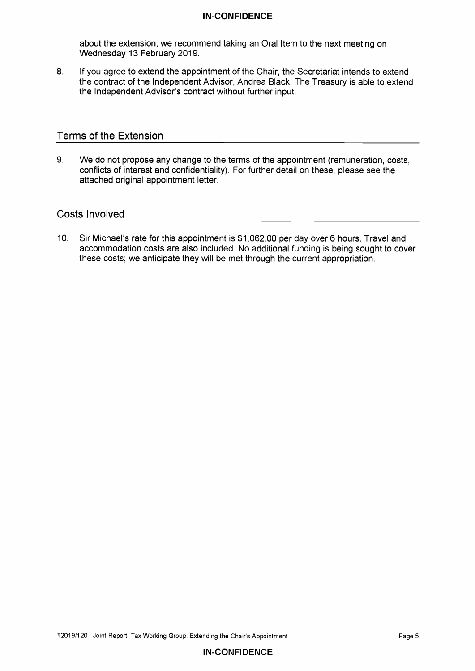#### **IN-CONFIDENCE**

**about the extension, we recommend taking an Oral Item to the next meeting on Wednesday 13 February 2019.**

**8. If you agree to extend the appointment of the Chair, the Secretariat intends to extend the contract of the Independent Advisor, Andrea Black. The Treasury is able to extend the Independent Advisor's contract without further input.**

## **Terms of the Extension\_\_\_\_\_\_\_\_\_\_\_\_\_\_\_\_\_\_\_\_\_\_\_\_\_\_\_\_\_\_\_\_\_\_\_\_\_\_\_\_\_\_\_\_\_\_\_\_\_\_\_\_\_**

**9. We do not propose any change to the terms of the appointment (remuneration, costs, conflicts of interest and confidentiality). For further detail on these, please see the attached original appointment letter.**

## **Costs Involved\_\_\_\_\_\_\_\_\_\_\_\_\_\_\_\_\_\_\_\_\_\_\_\_\_\_\_\_\_\_\_\_\_\_\_\_\_\_\_\_\_\_\_\_\_\_\_\_\_\_\_\_\_\_\_\_\_\_\_\_\_**

**10. Sir Michael's rate for this appointment is \$1,062.00 per day over 6 hours. Travel and accommodation costs are also included. No additional funding is being sought to cover these costs; we anticipate they will be met through the current appropriation.**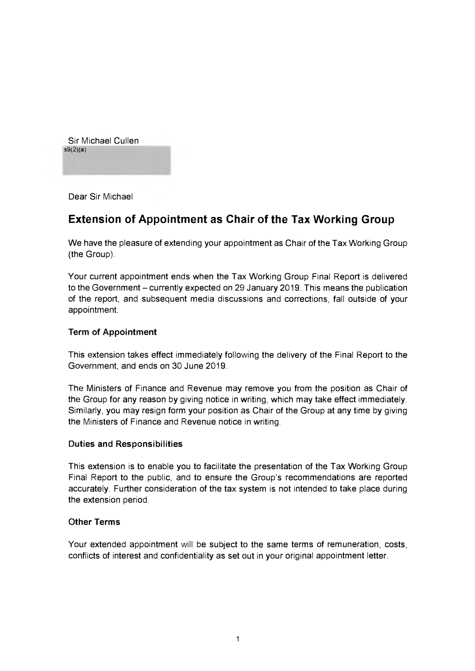Sir Michael Cullen  $s9(2)(a)$ 

Dear Sir Michael

# Extension of Appointment as Chair of the Tax Working Group

We have the pleasure of extending your appointment as Chair of the Tax Working Group (the Group).

Your current appointment ends when the Tax Working Group Final Report is delivered to the Government - currently expected on 29 January 2019. This means the publication of the report, and subsequent media discussions and corrections, fall outside of your appointment.

## **Term of Appointment**

This extension takes effect immediately following the delivery of the Final Report to the Government, and ends on 30 June 2019.

The Ministers of Finance and Revenue may remove you from the position as Chair of the Group for any reason by giving notice in writing, which may take effect immediately. Similarly, you may resign form your position as Chair of the Group at any time by giving the Ministers of Finance and Revenue notice in writing.

#### **Duties and Responsibilities**

This extension is to enable you to facilitate the presentation of the Tax Working Group Final Report to the public, and to ensure the Group's recommendations are reported accurately. Further consideration of the tax system is not intended to take place during the extension period.

#### **Other Terms**

Your extended appointment will be subject to the same terms of remuneration, costs, conflicts of interest and confidentiality as set out in your original appointment letter.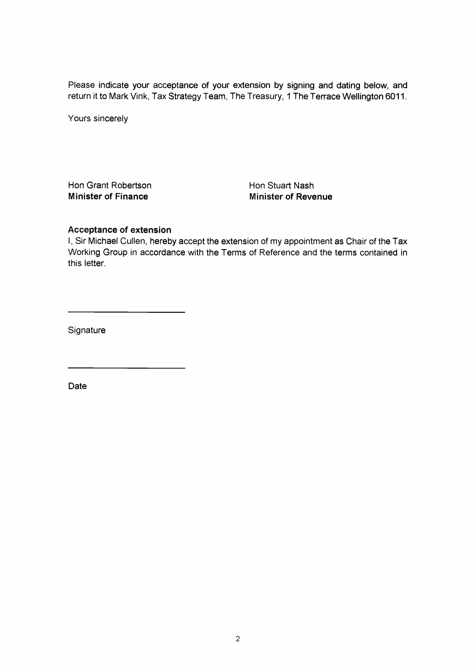**Please indicate your acceptance of your extension by signing and dating below, and return it to Mark Vink, Tax Strategy Team, The Treasury, 1 The Terrace Wellington 6011.**

**Yours sincerely**

**Hon Grant Robertson Hon Stuart Nash Minister of Finance Minister of Revenue** 

#### **Acceptance of extension**

**I, Sir Michael Cullen, hereby accept the extension of my appointment as Chair of the Tax Working Group in accordance with the Terms of Reference and the terms contained in this letter.**

**Signature**

**Date**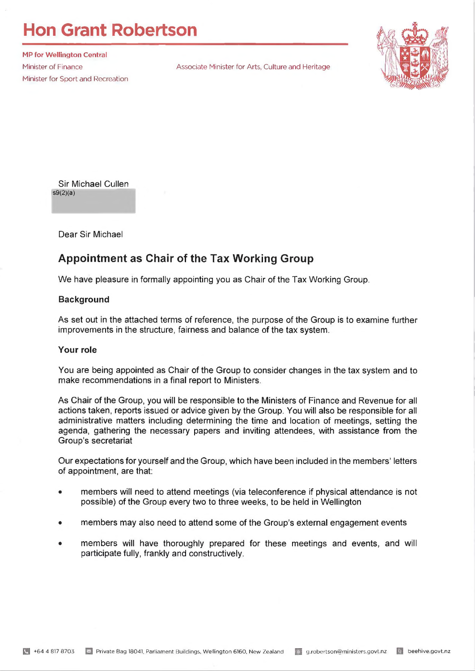# **Hon Grant Robertson**

**MP for Wellington Central** Minister for Sport and Recreation

Minister of Finance **Associate Minister for Arts, Culture and Heritage** 



Sir Michael Cullen  $s9(2)(a)$ 

Dear Sir Michael

# **Appointment as Chair of the Tax Working Group**

We have pleasure in formally appointing you as Chair of the Tax Working Group.

#### **Background**

As set out in the attached terms of reference, the purpose of the Group is to examine further improvements in the structure, fairness and balance of the tax system.

#### **Your role**

You are being appointed as Chair of the Group to consider changes in the tax system and to make recommendations in a final report to Ministers.

As Chair of the Group, you will be responsible to the Ministers of Finance and Revenue for all actions taken, reports issued or advice given by the Group. You will also be responsible for all administrative matters including determining the time and location of meetings, setting the agenda, gathering the necessary papers and inviting attendees, with assistance from the Group's secretariat

Our expectations for yourself and the Group, which have been included in the members' letters of appointment, are that:

- members will need to attend meetings (via teleconference if physical attendance is not possible) of the Group every two to three weeks, to be held in Wellington
- members may also need to attend some of the Group's external engagement events
- members will have thoroughly prepared for these meetings and events, and will participate fully, frankly and constructively.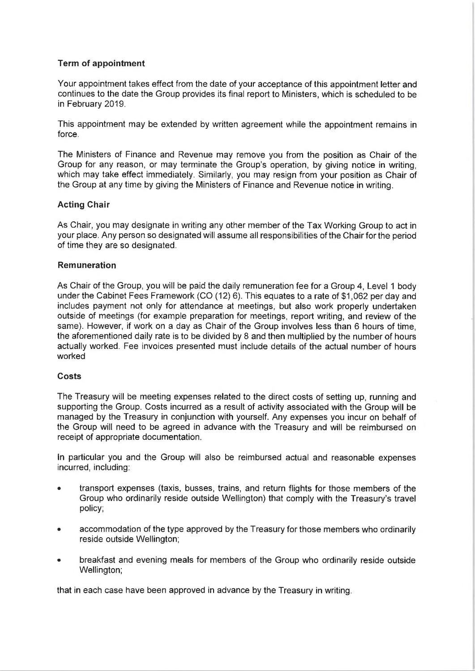#### **Term of appointment**

Your appointment takes effect from the date of your acceptance of this appointment letter and continues to the date the Group provides its final report to Ministers, which is scheduled to be in February 2019.

This appointment may be extended by written agreement while the appointment remains in force.

The Ministers of Finance and Revenue may remove you from the position as Chair of the Group for any reason, or may terminate the Group's operation, by giving notice in writing, which may take effect immediately. Similarly, you may resign from your position as Chair of the Group at any time by giving the Ministers of Finance and Revenue notice in writing.

#### **Acting Chair**

As Chair, you may designate in writing any other member of the Tax Working Group to act in your place. Any person so designated will assume all responsibilities of the Chair for the period of time they are so designated.

#### **Remuneration**

As Chair of the Group, you will be paid the daily remuneration fee for a Group 4, Level 1 body under the Cabinet Fees Framework (CO (12) 6). This equates to a rate of \$1,062 per day and includes payment not only for attendance at meetings, but also work properly undertaken outside of meetings (for example preparation for meetings, report writing, and review of the same). However, if work on a day as Chair of the Group involves less than 6 hours of time, the aforementioned daily rate is to be divided by 8 and then multiplied by the number of hours actually worked. Fee invoices presented must include details of the actual number of hours worked

#### **C osts**

The Treasury will be meeting expenses related to the direct costs of setting up, running and supporting the Group. Costs incurred as a result of activity associated with the Group will be managed by the Treasury in conjunction with yourself. Any expenses you incur on behalf of the Group will need to be agreed in advance with the Treasury and will be reimbursed on receipt of appropriate documentation.

In particular you and the Group will also be reimbursed actual and reasonable expenses incurred, including:

- transport expenses (taxis, busses, trains, and return flights for those members of the Group who ordinarily reside outside Wellington) that comply with the Treasury's travel policy;
- accommodation of the type approved by the Treasury for those members who ordinarily reside outside Wellington;
- breakfast and evening meals for members of the Group who ordinarily reside outside Wellington;

that in each case have been approved in advance by the Treasury in writing.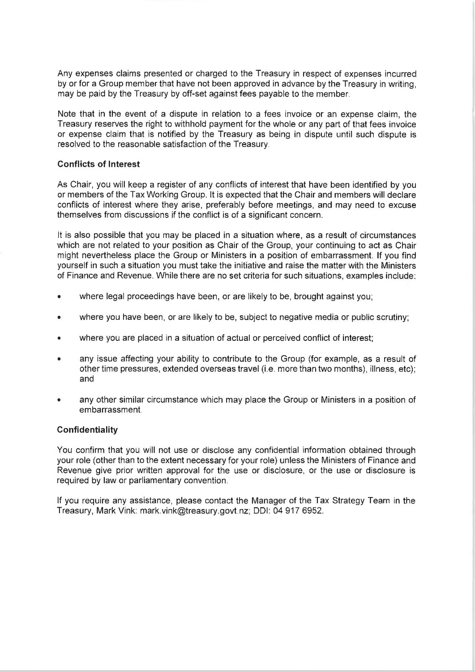Any expenses claims presented or charged to the Treasury in respect of expenses incurred by or for a Group member that have not been approved in advance by the Treasury in writing, may be paid by the Treasury by off-set against fees payable to the member.

Note that in the event of a dispute in relation to a fees invoice or an expense claim, the Treasury reserves the right to withhold payment for the whole or any part of that fees invoice or expense claim that is notified by the Treasury as being in dispute until such dispute is resolved to the reasonable satisfaction of the Treasury.

#### **Conflicts of Interest**

As Chair, you will keep a register of any conflicts of interest that have been identified by you or members of the Tax Working Group. It is expected that the Chair and members will declare conflicts of interest where they arise, preferably before meetings, and may need to excuse themselves from discussions if the conflict is of a significant concern.

it is also possible that you may be placed in a situation where, as a result of circumstances which are not related to your position as Chair of the Group, your continuing to act as Chair might nevertheless place the Group or Ministers in a position of embarrassment. If you find yourself in such a situation you must take the initiative and raise the matter with the Ministers of Finance and Revenue. While there are no set criteria for such situations, examples include:

- where legal proceedings have been, or are likely to be, brought against you;
- where you have been, or are likely to be, subject to negative media or public scrutiny;
- where you are placed in a situation of actual or perceived conflict of interest;
- any issue affecting your ability to contribute to the Group (for example, as a result of other time pressures, extended overseas travel (i.e. more than two months), illness, etc); and
- any other similar circumstance which may place the Group or Ministers in a position of embarrassment.

#### **Confidentiality**

You confirm that you will not use or disclose any confidential information obtained through your role (other than to the extent necessary for your role) unless the Ministers of Finance and Revenue give prior written approval for the use or disclosure, or the use or disclosure is required by law or parliamentary convention.

If you require any assistance, please contact the Manager of the Tax Strategy Team in the Treasury, Mark Vink: [mark.vink@treasury.govt.nz](mailto:mark.vink@treasury.govt.nz); DDI: 04 917 6952.